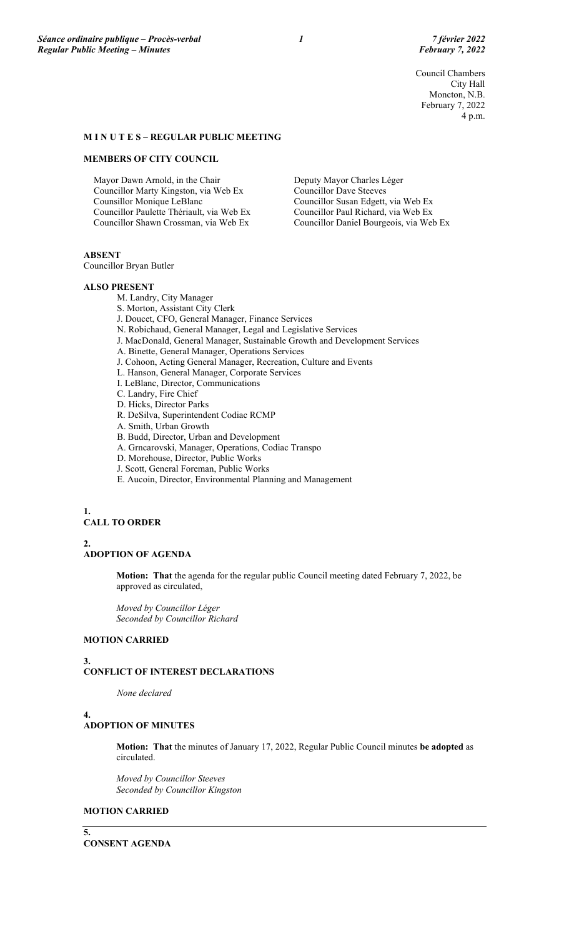Council Chambers City Hall Moncton, N.B. February 7, 2022 4 p.m.

## **M I N U T E S – REGULAR PUBLIC MEETING**

#### **MEMBERS OF CITY COUNCIL**

Mayor Dawn Arnold, in the Chair Councillor Marty Kingston, via Web Ex Counsillor Monique LeBlanc Councillor Paulette Thériault, via Web Ex Councillor Shawn Crossman, via Web Ex

Deputy Mayor Charles Léger Councillor Dave Steeves Councillor Susan Edgett, via Web Ex Councillor Paul Richard, via Web Ex Councillor Daniel Bourgeois, via Web Ex

# **ABSENT**

Councillor Bryan Butler

## **ALSO PRESENT**

M. Landry, City Manager

- S. Morton, Assistant City Clerk
- J. Doucet, CFO, General Manager, Finance Services
- N. Robichaud, General Manager, Legal and Legislative Services
- J. MacDonald, General Manager, Sustainable Growth and Development Services
- A. Binette, General Manager, Operations Services
- J. Cohoon, Acting General Manager, Recreation, Culture and Events
- L. Hanson, General Manager, Corporate Services
- I. LeBlanc, Director, Communications
- C. Landry, Fire Chief
- D. Hicks, Director Parks
- R. DeSilva, Superintendent Codiac RCMP
- A. Smith, Urban Growth
- B. Budd, Director, Urban and Development
- A. Grncarovski, Manager, Operations, Codiac Transpo
- D. Morehouse, Director, Public Works
- J. Scott, General Foreman, Public Works
- E. Aucoin, Director, Environmental Planning and Management

# **1. CALL TO ORDER**

# **2. ADOPTION OF AGENDA**

**Motion: That** the agenda for the regular public Council meeting dated February 7, 2022, be approved as circulated,

*Moved by Councillor Léger Seconded by Councillor Richard*

## **MOTION CARRIED**

#### **3.**

# **CONFLICT OF INTEREST DECLARATIONS**

*None declared*

## **4.**

# **ADOPTION OF MINUTES**

**Motion: That** the minutes of January 17, 2022, Regular Public Council minutes **be adopted** as circulated.

*Moved by Councillor Steeves Seconded by Councillor Kingston*

# **MOTION CARRIED**

**5. CONSENT AGENDA**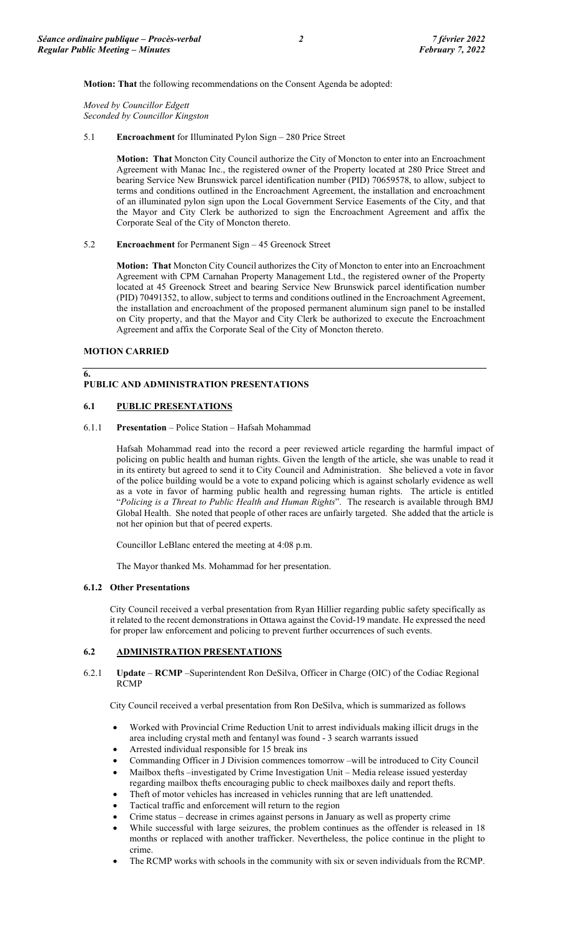**Motion: That** the following recommendations on the Consent Agenda be adopted:

*Moved by Councillor Edgett Seconded by Councillor Kingston*

5.1 **Encroachment** for Illuminated Pylon Sign – 280 Price Street

**Motion: That** Moncton City Council authorize the City of Moncton to enter into an Encroachment Agreement with Manac Inc., the registered owner of the Property located at 280 Price Street and bearing Service New Brunswick parcel identification number (PID) 70659578, to allow, subject to terms and conditions outlined in the Encroachment Agreement, the installation and encroachment of an illuminated pylon sign upon the Local Government Service Easements of the City, and that the Mayor and City Clerk be authorized to sign the Encroachment Agreement and affix the Corporate Seal of the City of Moncton thereto.

5.2 **Encroachment** for Permanent Sign – 45 Greenock Street

**Motion: That** Moncton City Council authorizes the City of Moncton to enter into an Encroachment Agreement with CPM Carnahan Property Management Ltd., the registered owner of the Property located at 45 Greenock Street and bearing Service New Brunswick parcel identification number (PID) 70491352, to allow, subject to terms and conditions outlined in the Encroachment Agreement, the installation and encroachment of the proposed permanent aluminum sign panel to be installed on City property, and that the Mayor and City Clerk be authorized to execute the Encroachment Agreement and affix the Corporate Seal of the City of Moncton thereto.

## **MOTION CARRIED**

**6.** 

# **PUBLIC AND ADMINISTRATION PRESENTATIONS**

## **6.1 PUBLIC PRESENTATIONS**

6.1.1 **Presentation** – Police Station – Hafsah Mohammad

Hafsah Mohammad read into the record a peer reviewed article regarding the harmful impact of policing on public health and human rights. Given the length of the article, she was unable to read it in its entirety but agreed to send it to City Council and Administration. She believed a vote in favor of the police building would be a vote to expand policing which is against scholarly evidence as well as a vote in favor of harming public health and regressing human rights. The article is entitled "*Policing is a Threat to Public Health and Human Rights*". The research is available through BMJ Global Health. She noted that people of other races are unfairly targeted. She added that the article is not her opinion but that of peered experts.

Councillor LeBlanc entered the meeting at 4:08 p.m.

The Mayor thanked Ms. Mohammad for her presentation.

## **6.1.2 Other Presentations**

City Council received a verbal presentation from Ryan Hillier regarding public safety specifically as it related to the recent demonstrations in Ottawa against the Covid-19 mandate. He expressed the need for proper law enforcement and policing to prevent further occurrences of such events.

# **6.2 ADMINISTRATION PRESENTATIONS**

6.2.1 **Update** – **RCMP** –Superintendent Ron DeSilva, Officer in Charge (OIC) of the Codiac Regional RCMP

City Council received a verbal presentation from Ron DeSilva, which is summarized as follows

- Worked with Provincial Crime Reduction Unit to arrest individuals making illicit drugs in the area including crystal meth and fentanyl was found - 3 search warrants issued
- Arrested individual responsible for 15 break ins
- Commanding Officer in J Division commences tomorrow –will be introduced to City Council
- Mailbox thefts –investigated by Crime Investigation Unit Media release issued yesterday regarding mailbox thefts encouraging public to check mailboxes daily and report thefts.
- Theft of motor vehicles has increased in vehicles running that are left unattended.
- Tactical traffic and enforcement will return to the region
- Crime status decrease in crimes against persons in January as well as property crime
- While successful with large seizures, the problem continues as the offender is released in 18 months or replaced with another trafficker. Nevertheless, the police continue in the plight to crime.
- The RCMP works with schools in the community with six or seven individuals from the RCMP.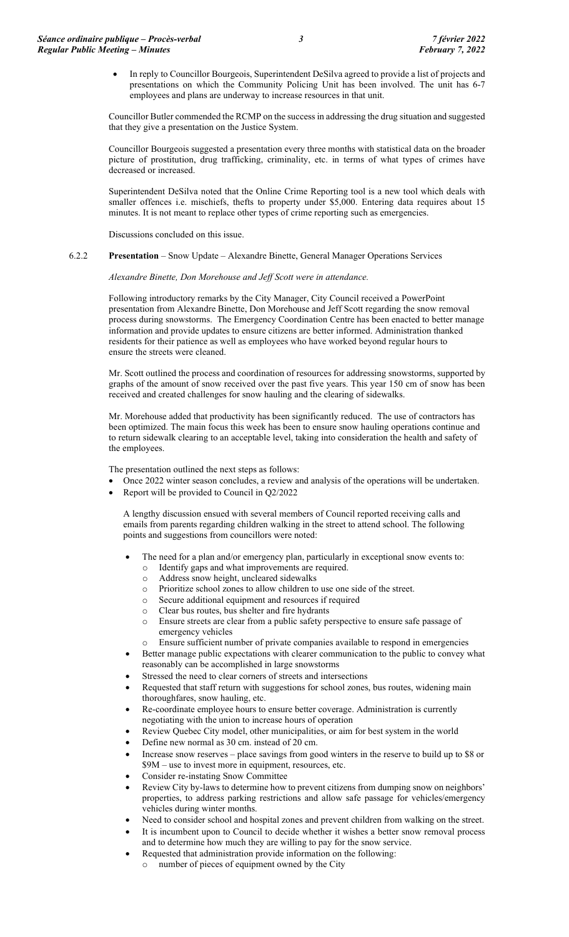• In reply to Councillor Bourgeois, Superintendent DeSilva agreed to provide a list of projects and presentations on which the Community Policing Unit has been involved. The unit has 6-7 employees and plans are underway to increase resources in that unit.

Councillor Butler commended the RCMP on the success in addressing the drug situation and suggested that they give a presentation on the Justice System.

Councillor Bourgeois suggested a presentation every three months with statistical data on the broader picture of prostitution, drug trafficking, criminality, etc. in terms of what types of crimes have decreased or increased.

Superintendent DeSilva noted that the Online Crime Reporting tool is a new tool which deals with smaller offences i.e. mischiefs, thefts to property under \$5,000. Entering data requires about 15 minutes. It is not meant to replace other types of crime reporting such as emergencies.

Discussions concluded on this issue.

## 6.2.2 **Presentation** – Snow Update – Alexandre Binette, General Manager Operations Services

*Alexandre Binette, Don Morehouse and Jeff Scott were in attendance.*

Following introductory remarks by the City Manager, City Council received a PowerPoint presentation from Alexandre Binette, Don Morehouse and Jeff Scott regarding the snow removal process during snowstorms. The Emergency Coordination Centre has been enacted to better manage information and provide updates to ensure citizens are better informed. Administration thanked residents for their patience as well as employees who have worked beyond regular hours to ensure the streets were cleaned.

Mr. Scott outlined the process and coordination of resources for addressing snowstorms, supported by graphs of the amount of snow received over the past five years. This year 150 cm of snow has been received and created challenges for snow hauling and the clearing of sidewalks.

Mr. Morehouse added that productivity has been significantly reduced. The use of contractors has been optimized. The main focus this week has been to ensure snow hauling operations continue and to return sidewalk clearing to an acceptable level, taking into consideration the health and safety of the employees.

The presentation outlined the next steps as follows:

- Once 2022 winter season concludes, a review and analysis of the operations will be undertaken.
- Report will be provided to Council in Q2/2022

A lengthy discussion ensued with several members of Council reported receiving calls and emails from parents regarding children walking in the street to attend school. The following points and suggestions from councillors were noted:

- The need for a plan and/or emergency plan, particularly in exceptional snow events to:
	- o Identify gaps and what improvements are required.
	- o Address snow height, uncleared sidewalks
	- o Prioritize school zones to allow children to use one side of the street.
	- o Secure additional equipment and resources if required
	-
	- o Clear bus routes, bus shelter and fire hydrants<br>
	o Ensure streets are clear from a public safety po Ensure streets are clear from a public safety perspective to ensure safe passage of emergency vehicles
	- Ensure sufficient number of private companies available to respond in emergencies
- Better manage public expectations with clearer communication to the public to convey what reasonably can be accomplished in large snowstorms
- Stressed the need to clear corners of streets and intersections
- Requested that staff return with suggestions for school zones, bus routes, widening main thoroughfares, snow hauling, etc.
- Re-coordinate employee hours to ensure better coverage. Administration is currently negotiating with the union to increase hours of operation
- Review Quebec City model, other municipalities, or aim for best system in the world
- Define new normal as 30 cm. instead of 20 cm.
- Increase snow reserves place savings from good winters in the reserve to build up to \$8 or \$9M – use to invest more in equipment, resources, etc.
- Consider re-instating Snow Committee
- Review City by-laws to determine how to prevent citizens from dumping snow on neighbors' properties, to address parking restrictions and allow safe passage for vehicles/emergency vehicles during winter months.
- Need to consider school and hospital zones and prevent children from walking on the street.
- It is incumbent upon to Council to decide whether it wishes a better snow removal process and to determine how much they are willing to pay for the snow service.
- Requested that administration provide information on the following:
	- number of pieces of equipment owned by the City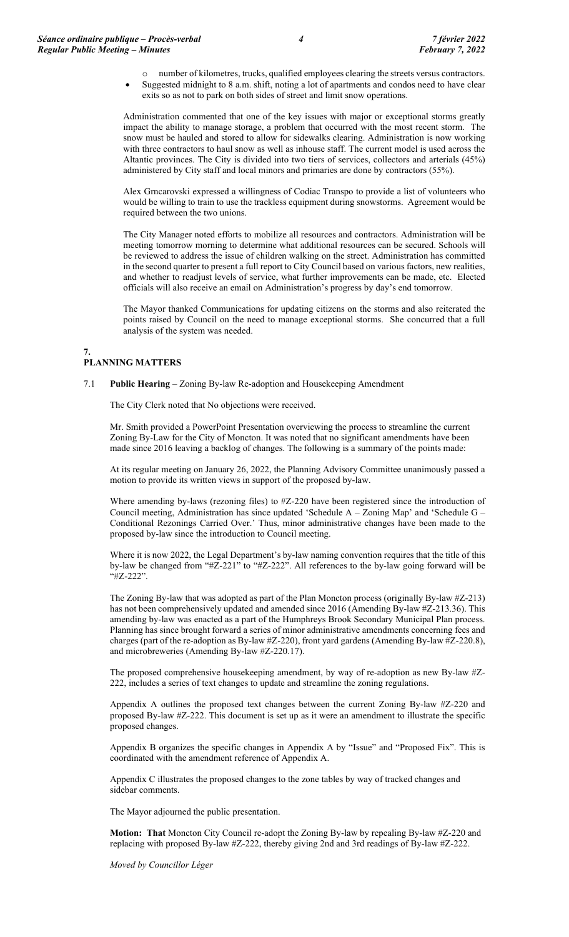o number of kilometres, trucks, qualified employees clearing the streets versus contractors. • Suggested midnight to 8 a.m. shift, noting a lot of apartments and condos need to have clear exits so as not to park on both sides of street and limit snow operations.

Administration commented that one of the key issues with major or exceptional storms greatly impact the ability to manage storage, a problem that occurred with the most recent storm. The snow must be hauled and stored to allow for sidewalks clearing. Administration is now working with three contractors to haul snow as well as inhouse staff. The current model is used across the Altantic provinces. The City is divided into two tiers of services, collectors and arterials (45%) administered by City staff and local minors and primaries are done by contractors (55%).

Alex Grncarovski expressed a willingness of Codiac Transpo to provide a list of volunteers who would be willing to train to use the trackless equipment during snowstorms. Agreement would be required between the two unions.

The City Manager noted efforts to mobilize all resources and contractors. Administration will be meeting tomorrow morning to determine what additional resources can be secured. Schools will be reviewed to address the issue of children walking on the street. Administration has committed in the second quarter to present a full report to City Council based on various factors, new realities, and whether to readjust levels of service, what further improvements can be made, etc. Elected officials will also receive an email on Administration's progress by day's end tomorrow.

The Mayor thanked Communications for updating citizens on the storms and also reiterated the points raised by Council on the need to manage exceptional storms. She concurred that a full analysis of the system was needed.

#### **7. PLANNING MATTERS**

## 7.1 **Public Hearing** – Zoning By-law Re-adoption and Housekeeping Amendment

The City Clerk noted that No objections were received.

Mr. Smith provided a PowerPoint Presentation overviewing the process to streamline the current Zoning By-Law for the City of Moncton. It was noted that no significant amendments have been made since 2016 leaving a backlog of changes. The following is a summary of the points made:

At its regular meeting on January 26, 2022, the Planning Advisory Committee unanimously passed a motion to provide its written views in support of the proposed by-law.

Where amending by-laws (rezoning files) to #Z-220 have been registered since the introduction of Council meeting, Administration has since updated 'Schedule A – Zoning Map' and 'Schedule G – Conditional Rezonings Carried Over.' Thus, minor administrative changes have been made to the proposed by-law since the introduction to Council meeting.

Where it is now 2022, the Legal Department's by-law naming convention requires that the title of this by-law be changed from "#Z-221" to "#Z-222". All references to the by-law going forward will be "#Z-222".

The Zoning By-law that was adopted as part of the Plan Moncton process (originally By-law #Z-213) has not been comprehensively updated and amended since 2016 (Amending By-law #Z-213.36). This amending by-law was enacted as a part of the Humphreys Brook Secondary Municipal Plan process. Planning has since brought forward a series of minor administrative amendments concerning fees and charges (part of the re-adoption as By-law #Z-220), front yard gardens (Amending By-law #Z-220.8), and microbreweries (Amending By-law #Z-220.17).

The proposed comprehensive housekeeping amendment, by way of re-adoption as new By-law #Z-222, includes a series of text changes to update and streamline the zoning regulations.

Appendix A outlines the proposed text changes between the current Zoning By-law #Z-220 and proposed By-law #Z-222. This document is set up as it were an amendment to illustrate the specific proposed changes.

Appendix B organizes the specific changes in Appendix A by "Issue" and "Proposed Fix". This is coordinated with the amendment reference of Appendix A.

Appendix C illustrates the proposed changes to the zone tables by way of tracked changes and sidebar comments.

The Mayor adjourned the public presentation.

**Motion: That** Moncton City Council re-adopt the Zoning By-law by repealing By-law #Z-220 and replacing with proposed By-law #Z-222, thereby giving 2nd and 3rd readings of By-law #Z-222.

*Moved by Councillor Léger*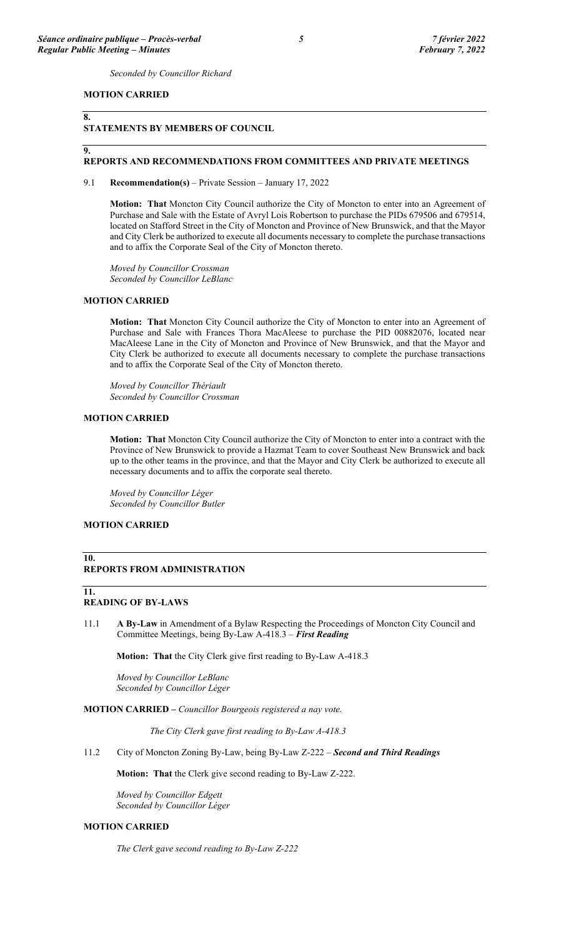*Seconded by Councillor Richard*

## **MOTION CARRIED**

# **9.**

**8.** 

# **STATEMENTS BY MEMBERS OF COUNCIL**

### **REPORTS AND RECOMMENDATIONS FROM COMMITTEES AND PRIVATE MEETINGS**

#### 9.1 **Recommendation(s)** – Private Session – January 17, 2022

**Motion: That** Moncton City Council authorize the City of Moncton to enter into an Agreement of Purchase and Sale with the Estate of Avryl Lois Robertson to purchase the PIDs 679506 and 679514, located on Stafford Street in the City of Moncton and Province of New Brunswick, and that the Mayor and City Clerk be authorized to execute all documents necessary to complete the purchase transactions and to affix the Corporate Seal of the City of Moncton thereto.

*Moved by Councillor Crossman Seconded by Councillor LeBlanc*

## **MOTION CARRIED**

**Motion: That** Moncton City Council authorize the City of Moncton to enter into an Agreement of Purchase and Sale with Frances Thora MacAleese to purchase the PID 00882076, located near MacAleese Lane in the City of Moncton and Province of New Brunswick, and that the Mayor and City Clerk be authorized to execute all documents necessary to complete the purchase transactions and to affix the Corporate Seal of the City of Moncton thereto.

*Moved by Councillor Thériault Seconded by Councillor Crossman*

## **MOTION CARRIED**

**Motion: That** Moncton City Council authorize the City of Moncton to enter into a contract with the Province of New Brunswick to provide a Hazmat Team to cover Southeast New Brunswick and back up to the other teams in the province, and that the Mayor and City Clerk be authorized to execute all necessary documents and to affix the corporate seal thereto.

*Moved by Councillor Léger Seconded by Councillor Butler*

#### **MOTION CARRIED**

#### **10. REPORTS FROM ADMINISTRATION**

**11.** 

# **READING OF BY-LAWS**

11.1 **A By-Law** in Amendment of a Bylaw Respecting the Proceedings of Moncton City Council and Committee Meetings, being By-Law A-418.3 – *First Reading*

**Motion: That** the City Clerk give first reading to By-Law A-418.3

*Moved by Councillor LeBlanc Seconded by Councillor Léger*

**MOTION CARRIED –** *Councillor Bourgeois registered a nay vote.*

*The City Clerk gave first reading to By-Law A-418.3*

11.2 City of Moncton Zoning By-Law, being By-Law Z-222 – *Second and Third Readings*

**Motion: That** the Clerk give second reading to By-Law Z-222.

*Moved by Councillor Edgett Seconded by Councillor Léger*

## **MOTION CARRIED**

*The Clerk gave second reading to By-Law Z-222*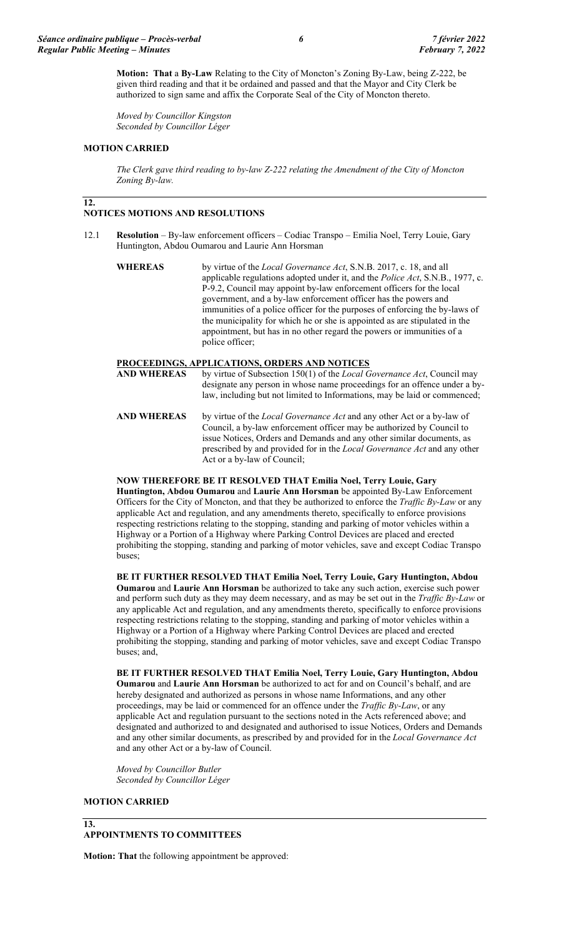**Motion: That** a **By-Law** Relating to the City of Moncton's Zoning By-Law, being Z-222, be given third reading and that it be ordained and passed and that the Mayor and City Clerk be authorized to sign same and affix the Corporate Seal of the City of Moncton thereto.

*Moved by Councillor Kingston Seconded by Councillor Léger*

## **MOTION CARRIED**

**12.** 

*The Clerk gave third reading to by-law Z-222 relating the Amendment of the City of Moncton Zoning By-law.*

# **NOTICES MOTIONS AND RESOLUTIONS**

- 12.1 **Resolution** By-law enforcement officers Codiac Transpo Emilia Noel, Terry Louie, Gary Huntington, Abdou Oumarou and Laurie Ann Horsman
	- **WHEREAS** by virtue of the *Local Governance Act*, S.N.B. 2017, c. 18, and all applicable regulations adopted under it, and the *Police Act*, S.N.B., 1977, c. P-9.2, Council may appoint by-law enforcement officers for the local government, and a by-law enforcement officer has the powers and immunities of a police officer for the purposes of enforcing the by-laws of the municipality for which he or she is appointed as are stipulated in the appointment, but has in no other regard the powers or immunities of a police officer;

## **PROCEEDINGS, APPLICATIONS, ORDERS AND NOTICES**

- **AND WHEREAS** by virtue of Subsection 150(1) of the *Local Governance Act*, Council may designate any person in whose name proceedings for an offence under a bylaw, including but not limited to Informations, may be laid or commenced;
- **AND WHEREAS** by virtue of the *Local Governance Act* and any other Act or a by-law of Council, a by-law enforcement officer may be authorized by Council to issue Notices, Orders and Demands and any other similar documents, as prescribed by and provided for in the *Local Governance Act* and any other Act or a by-law of Council;

**NOW THEREFORE BE IT RESOLVED THAT Emilia Noel, Terry Louie, Gary Huntington, Abdou Oumarou** and **Laurie Ann Horsman** be appointed By-Law Enforcement Officers for the City of Moncton, and that they be authorized to enforce the *Traffic By-Law* or any applicable Act and regulation, and any amendments thereto, specifically to enforce provisions respecting restrictions relating to the stopping, standing and parking of motor vehicles within a Highway or a Portion of a Highway where Parking Control Devices are placed and erected prohibiting the stopping, standing and parking of motor vehicles, save and except Codiac Transpo buses;

**BE IT FURTHER RESOLVED THAT Emilia Noel, Terry Louie, Gary Huntington, Abdou Oumarou** and **Laurie Ann Horsman** be authorized to take any such action, exercise such power and perform such duty as they may deem necessary, and as may be set out in the *Traffic By-Law* or any applicable Act and regulation, and any amendments thereto, specifically to enforce provisions respecting restrictions relating to the stopping, standing and parking of motor vehicles within a Highway or a Portion of a Highway where Parking Control Devices are placed and erected prohibiting the stopping, standing and parking of motor vehicles, save and except Codiac Transpo buses; and,

**BE IT FURTHER RESOLVED THAT Emilia Noel, Terry Louie, Gary Huntington, Abdou Oumarou** and **Laurie Ann Horsman** be authorized to act for and on Council's behalf, and are hereby designated and authorized as persons in whose name Informations, and any other proceedings, may be laid or commenced for an offence under the *Traffic By-Law*, or any applicable Act and regulation pursuant to the sections noted in the Acts referenced above; and designated and authorized to and designated and authorised to issue Notices, Orders and Demands and any other similar documents, as prescribed by and provided for in the *Local Governance Act* and any other Act or a by-law of Council.

*Moved by Councillor Butler Seconded by Councillor Léger*

## **MOTION CARRIED**

# **13.**

# **APPOINTMENTS TO COMMITTEES**

**Motion: That** the following appointment be approved: